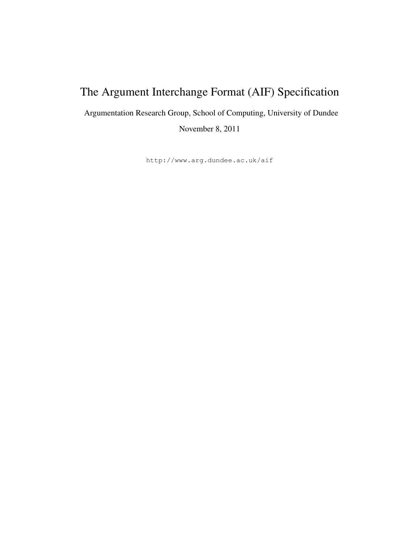# The Argument Interchange Format (AIF) Specification

Argumentation Research Group, School of Computing, University of Dundee

November 8, 2011

http://www.arg.dundee.ac.uk/aif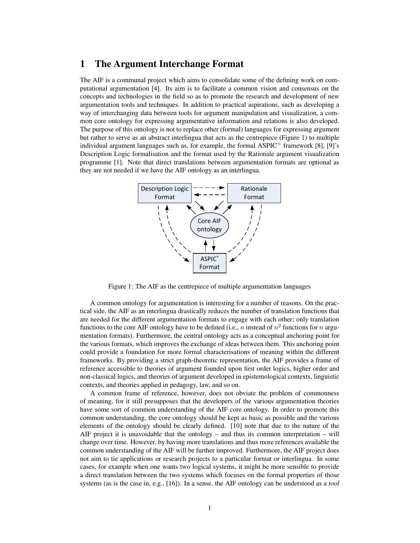# 1 The Argument Interchange Format

The AIF is a communal project which aims to consolidate some of the defining work on computational argumentation [4]. Its aim is to facilitate a common vision and consensus on the concepts and technologies in the field so as to promote the research and development of new argumentation tools and techniques. In addition to practical aspirations, such as developing a way of interchanging data between tools for argument manipulation and visualization, a common core ontology for expressing argumentative information and relations is also developed. The purpose of this ontology is not to replace other (formal) languages for expressing argument but rather to serve as an abstract interlingua that acts as the centrepiece (Figure 1) to multiple individual argument languages such as, for example, the formal  $\text{ASPIC}^+$  framework [8], [9]'s Description Logic formalisation and the format used by the Rationale argument visualization programme [1]. Note that direct translations between argumentation formats are optional as they are not needed if we have the AIF ontology as an interlingua.



Figure 1: The AIF as the centrepiece of multiple argumentation languages

A common ontology for argumentation is interesting for a number of reasons. On the practical side, the AIF as an interlingua drastically reduces the number of translation functions that are needed for the different argumentation formats to engage with each other; only translation functions to the core AIF ontology have to be defined (i.e., n instead of  $n^2$  functions for n argumentation formats). Furthermore, the central ontology acts as a conceptual anchoring point for the various formats, which improves the exchange of ideas between them. This anchoring point could provide a foundation for more formal characterisations of meaning within the different frameworks. By providing a strict graph-theoretic representation, the AIF provides a frame of reference accessible to theories of argument founded upon first order logics, higher order and non-classical logics, and theories of argument developed in epistemological contexts, linguistic contexts, and theories applied in pedagogy, law, and so on.

A common frame of reference, however, does not obviate the problem of commonness of meaning, for it still presupposes that the developers of the various argumentation theories have some sort of common understanding of the AIF core ontology. In order to promote this common understanding, the core ontology should be kept as basic as possible and the various elements of the ontology should be clearly defined. [10] note that due to the nature of the AIF project it is unavoidable that the ontology – and thus its common interpretation – will change over time. However, by having more translations and thus more references available the common understanding of the AIF will be further improved. Furthermore, the AIF project does not aim to tie applications or research projects to a particular format or interlingua. In some cases, for example when one wants two logical systems, it might be more sensible to provide a direct translation between the two systems which focuses on the formal properties of those systems (as is the case in, e.g., [16]). In a sense, the AIF ontology can be understood as a *tool*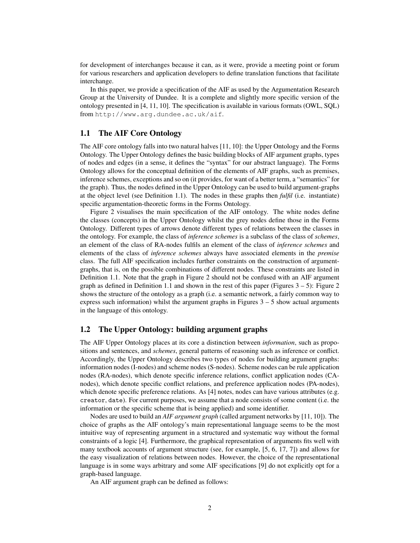for development of interchanges because it can, as it were, provide a meeting point or forum for various researchers and application developers to define translation functions that facilitate interchange.

In this paper, we provide a specification of the AIF as used by the Argumentation Research Group at the University of Dundee. It is a complete and slightly more specific version of the ontology presented in [4, 11, 10]. The specification is available in various formats (OWL, SQL) from http://www.arg.dundee.ac.uk/aif.

## 1.1 The AIF Core Ontology

The AIF core ontology falls into two natural halves [11, 10]: the Upper Ontology and the Forms Ontology. The Upper Ontology defines the basic building blocks of AIF argument graphs, types of nodes and edges (in a sense, it defines the "syntax" for our abstract language). The Forms Ontology allows for the conceptual definition of the elements of AIF graphs, such as premises, inference schemes, exceptions and so on (it provides, for want of a better term, a "semantics" for the graph). Thus, the nodes defined in the Upper Ontology can be used to build argument-graphs at the object level (see Definition 1.1). The nodes in these graphs then *fulfil* (i.e. instantiate) specific argumentation-theoretic forms in the Forms Ontology.

Figure 2 visualises the main specification of the AIF ontology. The white nodes define the classes (concepts) in the Upper Ontology whilst the grey nodes define those in the Forms Ontology. Different types of arrows denote different types of relations between the classes in the ontology. For example, the class of *inference schemes* is a subclass of the class of *schemes*, an element of the class of RA-nodes fulfils an element of the class of *inference schemes* and elements of the class of *inference schemes* always have associated elements in the *premise* class. The full AIF specification includes further constraints on the construction of argumentgraphs, that is, on the possible combinations of different nodes. These constraints are listed in Definition 1.1. Note that the graph in Figure 2 should not be confused with an AIF argument graph as defined in Definition 1.1 and shown in the rest of this paper (Figures  $3 - 5$ ): Figure 2 shows the structure of the ontology as a graph (i.e. a semantic network, a fairly common way to express such information) whilst the argument graphs in Figures  $3 - 5$  show actual arguments in the language of this ontology.

## 1.2 The Upper Ontology: building argument graphs

The AIF Upper Ontology places at its core a distinction between *information*, such as propositions and sentences, and *schemes*, general patterns of reasoning such as inference or conflict. Accordingly, the Upper Ontology describes two types of nodes for building argument graphs: information nodes (I-nodes) and scheme nodes (S-nodes). Scheme nodes can be rule application nodes (RA-nodes), which denote specific inference relations, conflict application nodes (CAnodes), which denote specific conflict relations, and preference application nodes (PA-nodes), which denote specific preference relations. As [4] notes, nodes can have various attributes (e.g. creator, date). For current purposes, we assume that a node consists of some content (i.e. the information or the specific scheme that is being applied) and some identifier.

Nodes are used to build an *AIF argument graph* (called argument networks by [11, 10]). The choice of graphs as the AIF ontology's main representational language seems to be the most intuitive way of representing argument in a structured and systematic way without the formal constraints of a logic [4]. Furthermore, the graphical representation of arguments fits well with many textbook accounts of argument structure (see, for example, [5, 6, 17, 7]) and allows for the easy visualization of relations between nodes. However, the choice of the representational language is in some ways arbitrary and some AIF specifications [9] do not explicitly opt for a graph-based language.

An AIF argument graph can be defined as follows: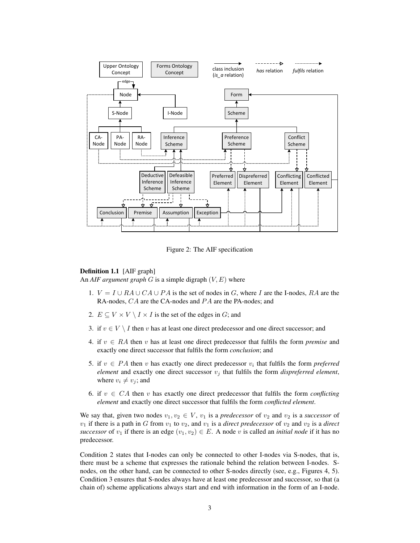

Figure 2: The AIF specification

#### Definition 1.1 [AIF graph]

An *AIF argument graph*  $G$  is a simple digraph  $(V, E)$  where

- 1.  $V = I \cup RA \cup CA \cup PA$  is the set of nodes in G, where I are the I-nodes, RA are the RA-nodes, CA are the CA-nodes and PA are the PA-nodes; and
- 2.  $E \subseteq V \times V \setminus I \times I$  is the set of the edges in G; and
- 3. if  $v \in V \setminus I$  then v has at least one direct predecessor and one direct successor; and
- 4. if  $v \in RA$  then v has at least one direct predecessor that fulfils the form *premise* and exactly one direct successor that fulfils the form *conclusion*; and
- 5. if  $v \in PA$  then v has exactly one direct predecessor  $v_i$  that fulfils the form *preferred element* and exactly one direct successor  $v_j$  that fulfils the form *dispreferred element*, where  $v_i \neq v_j$ ; and
- 6. if  $v \in CA$  then v has exactly one direct predecessor that fulfils the form *conflicting element* and exactly one direct successor that fulfils the form *conflicted element*.

We say that, given two nodes  $v_1, v_2 \in V$ ,  $v_1$  is a *predecessor* of  $v_2$  and  $v_2$  is a *successor* of  $v_1$  if there is a path in G from  $v_1$  to  $v_2$ , and  $v_1$  is a *direct predecessor* of  $v_2$  and  $v_2$  is a *direct successor* of  $v_1$  if there is an edge  $(v_1, v_2) \in E$ . A node v is called an *initial node* if it has no predecessor.

Condition 2 states that I-nodes can only be connected to other I-nodes via S-nodes, that is, there must be a scheme that expresses the rationale behind the relation between I-nodes. Snodes, on the other hand, can be connected to other S-nodes directly (see, e.g., Figures 4, 5). Condition 3 ensures that S-nodes always have at least one predecessor and successor, so that (a chain of) scheme applications always start and end with information in the form of an I-node.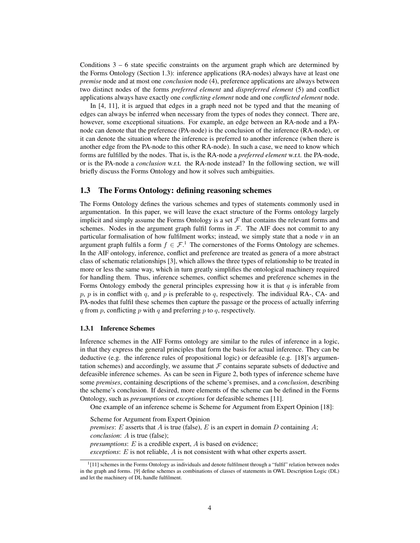Conditions  $3 - 6$  state specific constraints on the argument graph which are determined by the Forms Ontology (Section 1.3): inference applications (RA-nodes) always have at least one *premise* node and at most one *conclusion* node (4), preference applications are always between two distinct nodes of the forms *preferred element* and *dispreferred element* (5) and conflict applications always have exactly one *conflicting element* node and one *conflicted element* node.

In [4, 11], it is argued that edges in a graph need not be typed and that the meaning of edges can always be inferred when necessary from the types of nodes they connect. There are, however, some exceptional situations. For example, an edge between an RA-node and a PAnode can denote that the preference (PA-node) is the conclusion of the inference (RA-node), or it can denote the situation where the inference is preferred to another inference (when there is another edge from the PA-node to this other RA-node). In such a case, we need to know which forms are fulfilled by the nodes. That is, is the RA-node a *preferred element* w.r.t. the PA-node, or is the PA-node a *conclusion* w.r.t. the RA-node instead? In the following section, we will briefly discuss the Forms Ontology and how it solves such ambiguities.

## 1.3 The Forms Ontology: defining reasoning schemes

The Forms Ontology defines the various schemes and types of statements commonly used in argumentation. In this paper, we will leave the exact structure of the Forms ontology largely implicit and simply assume the Forms Ontology is a set  $\mathcal F$  that contains the relevant forms and schemes. Nodes in the argument graph fulfil forms in  $F$ . The AIF does not commit to any particular formalisation of how fulfilment works; instead, we simply state that a node  $\nu$  in an argument graph fulfils a form  $f \in \mathcal{F}^1$ . The cornerstones of the Forms Ontology are schemes. In the AIF ontology, inference, conflict and preference are treated as genera of a more abstract class of schematic relationships [3], which allows the three types of relationship to be treated in more or less the same way, which in turn greatly simplifies the ontological machinery required for handling them. Thus, inference schemes, conflict schemes and preference schemes in the Forms Ontology embody the general principles expressing how it is that  $q$  is inferable from  $p, p$  is in conflict with q, and p is preferable to q, respectively. The individual RA-, CA- and PA-nodes that fulfil these schemes then capture the passage or the process of actually inferring q from p, conflicting p with q and preferring p to q, respectively.

#### 1.3.1 Inference Schemes

Inference schemes in the AIF Forms ontology are similar to the rules of inference in a logic, in that they express the general principles that form the basis for actual inference. They can be deductive (e.g. the inference rules of propositional logic) or defeasible (e.g. [18]'s argumentation schemes) and accordingly, we assume that  $F$  contains separate subsets of deductive and defeasible inference schemes. As can be seen in Figure 2, both types of inference scheme have some *premises*, containing descriptions of the scheme's premises, and a *conclusion*, describing the scheme's conclusion. If desired, more elements of the scheme can be defined in the Forms Ontology, such as *presumptions* or *exceptions* for defeasible schemes [11].

One example of an inference scheme is Scheme for Argument from Expert Opinion [18]:

Scheme for Argument from Expert Opinion *premises*: E asserts that A is true (false), E is an expert in domain D containing A; *conclusion*: A is true (false); *presumptions*: *E* is a credible expert, *A* is based on evidence; *exceptions*: E is not reliable, A is not consistent with what other experts assert.

<sup>&</sup>lt;sup>1</sup>[11] schemes in the Forms Ontology as individuals and denote fulfilment through a "fulfil" relation between nodes in the graph and forms. [9] define schemes as combinations of classes of statements in OWL Description Logic (DL) and let the machinery of DL handle fulfilment.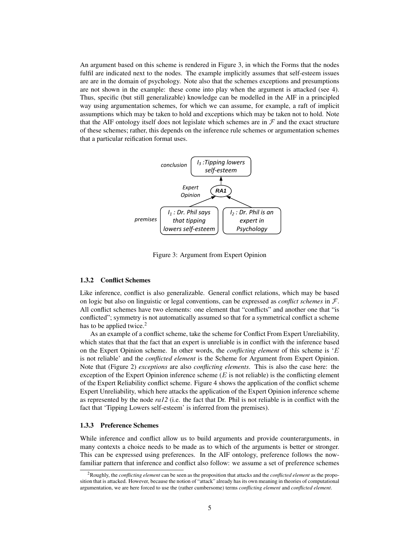An argument based on this scheme is rendered in Figure 3, in which the Forms that the nodes fulfil are indicated next to the nodes. The example implicitly assumes that self-esteem issues are are in the domain of psychology. Note also that the schemes exceptions and presumptions are not shown in the example: these come into play when the argument is attacked (see 4). Thus, specific (but still generalizable) knowledge can be modelled in the AIF in a principled way using argumentation schemes, for which we can assume, for example, a raft of implicit assumptions which may be taken to hold and exceptions which may be taken not to hold. Note that the AIF ontology itself does not legislate which schemes are in  $\mathcal F$  and the exact structure of these schemes; rather, this depends on the inference rule schemes or argumentation schemes that a particular reification format uses.



Figure 3: Argument from Expert Opinion

#### 1.3.2 Conflict Schemes

Like inference, conflict is also generalizable. General conflict relations, which may be based on logic but also on linguistic or legal conventions, can be expressed as *conflict schemes* in F. All conflict schemes have two elements: one element that "conflicts" and another one that "is conflicted"; symmetry is not automatically assumed so that for a symmetrical conflict a scheme has to be applied twice. $<sup>2</sup>$ </sup>

As an example of a conflict scheme, take the scheme for Conflict From Expert Unreliability, which states that that the fact that an expert is unreliable is in conflict with the inference based on the Expert Opinion scheme. In other words, the *conflicting element* of this scheme is 'E is not reliable' and the *conflicted element* is the Scheme for Argument from Expert Opinion. Note that (Figure 2) *exceptions* are also *conflicting elements*. This is also the case here: the exception of the Expert Opinion inference scheme  $(E$  is not reliable) is the conflicting element of the Expert Reliability conflict scheme. Figure 4 shows the application of the conflict scheme Expert Unreliability, which here attacks the application of the Expert Opinion inference scheme as represented by the node *ra12* (i.e. the fact that Dr. Phil is not reliable is in conflict with the fact that 'Tipping Lowers self-esteem' is inferred from the premises).

### 1.3.3 Preference Schemes

While inference and conflict allow us to build arguments and provide counterarguments, in many contexts a choice needs to be made as to which of the arguments is better or stronger. This can be expressed using preferences. In the AIF ontology, preference follows the nowfamiliar pattern that inference and conflict also follow: we assume a set of preference schemes

<sup>2</sup>Roughly, the *conflicting element* can be seen as the proposition that attacks and the *conflicted element* as the proposition that is attacked. However, because the notion of "attack" already has its own meaning in theories of computational argumentation, we are here forced to use the (rather cumbersome) terms *conflicting element* and *conflicted element*.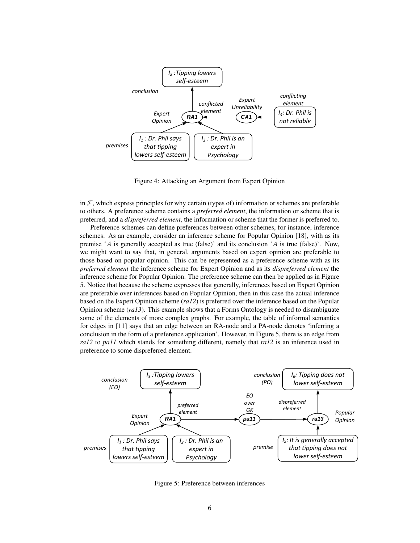

Figure 4: Attacking an Argument from Expert Opinion

in  $\mathcal F$ , which express principles for why certain (types of) information or schemes are preferable to others. A preference scheme contains a *preferred element*, the information or scheme that is preferred, and a *dispreferred element*, the information or scheme that the former is preferred to.

Preference schemes can define preferences between other schemes, for instance, inference schemes. As an example, consider an inference scheme for Popular Opinion [18], with as its premise 'A is generally accepted as true (false)' and its conclusion 'A is true (false)'. Now, we might want to say that, in general, arguments based on expert opinion are preferable to those based on popular opinion. This can be represented as a preference scheme with as its *preferred element* the inference scheme for Expert Opinion and as its *dispreferred element* the inference scheme for Popular Opinion. The preference scheme can then be applied as in Figure 5. Notice that because the scheme expresses that generally, inferences based on Expert Opinion are preferable over inferences based on Popular Opinion, then in this case the actual inference based on the Expert Opinion scheme (*ra12*) is preferred over the inference based on the Popular Opinion scheme (*ra13*). This example shows that a Forms Ontology is needed to disambiguate some of the elements of more complex graphs. For example, the table of informal semantics for edges in [11] says that an edge between an RA-node and a PA-node denotes 'inferring a conclusion in the form of a preference application'. However, in Figure 5, there is an edge from *ra12* to *pa11* which stands for something different, namely that *ra12* is an inference used in preference to some dispreferred element.



Figure 5: Preference between inferences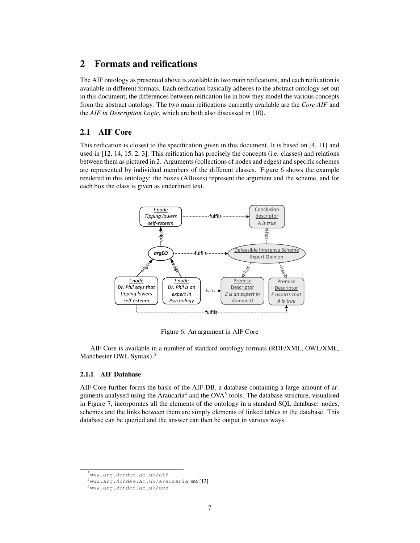# 2 Formats and reifications

The AIF ontology as presented above is available in two main reifications, and each reification is available in different formats. Each reification basically adheres to the abstract ontology set out in this document; the differences between reification lie in how they model the various concepts from the abstract ontology. The two main reifications currently available are the *Core AIF* and the *AIF in Description Logic*, which are both also discussed in [10].

# 2.1 AIF Core

This reification is closest to the specification given in this document. It is based on [4, 11] and used in [12, 14, 15, 2, 3]. This reification has precisely the concepts (i.e. classes) and relations between them as pictured in 2. Arguments (collections of nodes and edges) and specific schemes are represented by individual members of the different classes. Figure 6 shows the example rendered in this ontology: the boxes (ABoxes) represent the argument and the scheme, and for each box the class is given as underlined text.



Figure 6: An argument in AIF Core

AIF Core is available in a number of standard ontology formats (RDF/XML, OWL/XML, Manchester OWL Syntax).<sup>3</sup>

#### 2.1.1 AIF Database

AIF Core further forms the basis of the AIF-DB, a database containing a large amount of arguments analysed using the Araucaria<sup>4</sup> and the OVA<sup>5</sup> tools. The database structure, visualised in Figure 7, incorporates all the elements of the ontology in a standard SQL database: nodes, schemes and the links between them are simply elements of linked tables in the database. This database can be queried and the answer can then be output in various ways.

<sup>3</sup>www.arg.dundee.ac.uk/aif

<sup>4</sup>www.arg.dundee.ac.uk/araucaria, see [13]

<sup>5</sup>www.arg.dundee.ac.uk/ova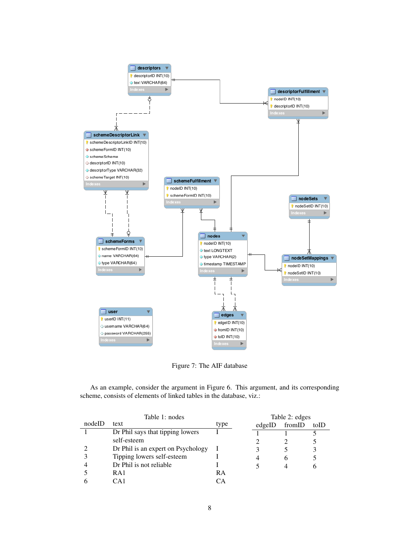

Figure 7: The AIF database

As an example, consider the argument in Figure 6. This argument, and its corresponding scheme, consists of elements of linked tables in the database, viz.:

|        | Table 1: nodes                     |      |        | Table 2: edges |      |  |
|--------|------------------------------------|------|--------|----------------|------|--|
| nodeID | text                               | type | edgeID | fromID         | toID |  |
|        | Dr Phil says that tipping lowers   |      |        |                |      |  |
|        | self-esteem                        |      |        |                |      |  |
|        | Dr Phil is an expert on Psychology |      |        |                | 3    |  |
|        | Tipping lowers self-esteem         |      |        |                |      |  |
|        | Dr Phil is not reliable            |      |        |                |      |  |
|        | RA1                                | RA   |        |                |      |  |
|        | ∩∆ 1                               | CА   |        |                |      |  |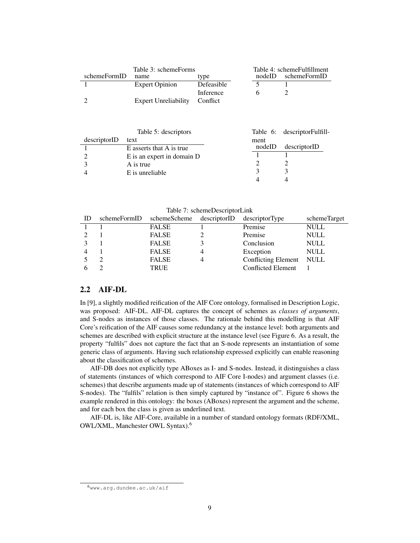|              | Table 3: schemeForms        |            | Table 4: schemeFulfillment |              |  |
|--------------|-----------------------------|------------|----------------------------|--------------|--|
| schemeFormID | name                        | type       | nodeID                     | schemeFormID |  |
|              | <b>Expert Opinion</b>       | Defeasible |                            |              |  |
|              |                             | Inference  |                            |              |  |
|              | <b>Expert Unreliability</b> | Conflict   |                            |              |  |

|              | Table 5: descriptors       |      |        | Table 6: descriptorFulfill- |
|--------------|----------------------------|------|--------|-----------------------------|
| descriptorID | text                       | ment |        |                             |
|              | E asserts that A is true   |      | nodeID | descriptorID                |
|              | E is an expert in domain D |      |        |                             |
|              | A is true                  |      |        |                             |
|              | E is unreliable            |      |        |                             |
|              |                            |      |        |                             |

| ID | schemeFormID schemeScheme descriptorID | descriptorType             | schemeTarget |
|----|----------------------------------------|----------------------------|--------------|
|    | <b>FALSE</b>                           | Premise                    | <b>NULL</b>  |
|    | <b>FALSE</b>                           | Premise                    | <b>NULL</b>  |
|    | <b>FALSE</b>                           | Conclusion                 | <b>NULL</b>  |
|    | <b>FALSE</b>                           | Exception                  | <b>NULL</b>  |
|    | <b>FALSE</b>                           | <b>Conflicting Element</b> | NULL         |
|    | <b>TRUE</b>                            | <b>Conflicted Element</b>  |              |

## 2.2 AIF-DL

In [9], a slightly modified reification of the AIF Core ontology, formalised in Description Logic, was proposed: AIF-DL. AIF-DL captures the concept of schemes as *classes of arguments*, and S-nodes as instances of those classes. The rationale behind this modelling is that AIF Core's reification of the AIF causes some redundancy at the instance level: both arguments and schemes are described with explicit structure at the instance level (see Figure 6. As a result, the property "fulfils" does not capture the fact that an S-node represents an instantiation of some generic class of arguments. Having such relationship expressed explicitly can enable reasoning about the classification of schemes.

AIF-DB does not explicitly type ABoxes as I- and S-nodes. Instead, it distinguishes a class of statements (instances of which correspond to AIF Core I-nodes) and argument classes (i.e. schemes) that describe arguments made up of statements (instances of which correspond to AIF S-nodes). The "fulfils" relation is then simply captured by "instance of". Figure 6 shows the example rendered in this ontology: the boxes (ABoxes) represent the argument and the scheme, and for each box the class is given as underlined text.

AIF-DL is, like AIF-Core, available in a number of standard ontology formats (RDF/XML, OWL/XML, Manchester OWL Syntax).<sup>6</sup>

 $6$ www.arg.dundee.ac.uk/aif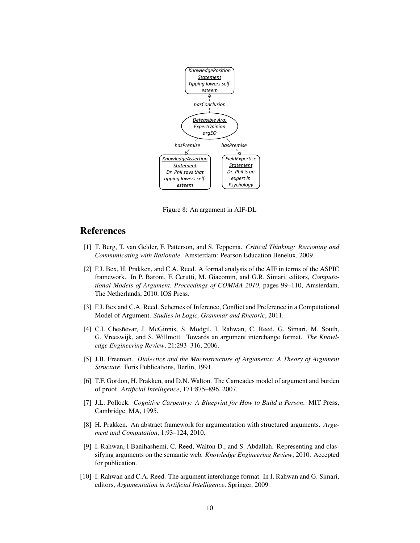

Figure 8: An argument in AIF-DL

# References

- [1] T. Berg, T. van Gelder, F. Patterson, and S. Teppema. *Critical Thinking: Reasoning and Communicating with Rationale*. Amsterdam: Pearson Education Benelux, 2009.
- [2] F.J. Bex, H. Prakken, and C.A. Reed. A formal analysis of the AIF in terms of the ASPIC framework. In P. Baroni, F. Cerutti, M. Giacomin, and G.R. Simari, editors, *Computational Models of Argument. Proceedings of COMMA 2010*, pages 99–110, Amsterdam, The Netherlands, 2010. IOS Press.
- [3] F.J. Bex and C.A. Reed. Schemes of Inference, Conflict and Preference in a Computational Model of Argument. *Studies in Logic, Grammar and Rhetoric*, 2011.
- [4] C.I. Chesñevar, J. McGinnis, S. Modgil, I. Rahwan, C. Reed, G. Simari, M. South, G. Vreeswijk, and S. Willmott. Towards an argument interchange format. *The Knowledge Engineering Review*, 21:293–316, 2006.
- [5] J.B. Freeman. *Dialectics and the Macrostructure of Arguments: A Theory of Argument Structure*. Foris Publications, Berlin, 1991.
- [6] T.F. Gordon, H. Prakken, and D.N. Walton. The Carneades model of argument and burden of proof. *Artificial Intelligence*, 171:875–896, 2007.
- [7] J.L. Pollock. *Cognitive Carpentry: A Blueprint for How to Build a Person*. MIT Press, Cambridge, MA, 1995.
- [8] H. Prakken. An abstract framework for argumentation with structured arguments. *Argument and Computation*, 1:93–124, 2010.
- [9] I. Rahwan, I Banihashemi, C. Reed, Walton D., and S. Abdallah. Representing and classifying arguments on the semantic web. *Knowledge Engineering Review*, 2010. Accepted for publication.
- [10] I. Rahwan and C.A. Reed. The argument interchange format. In I. Rahwan and G. Simari, editors, *Argumentation in Artificial Intelligence*. Springer, 2009.